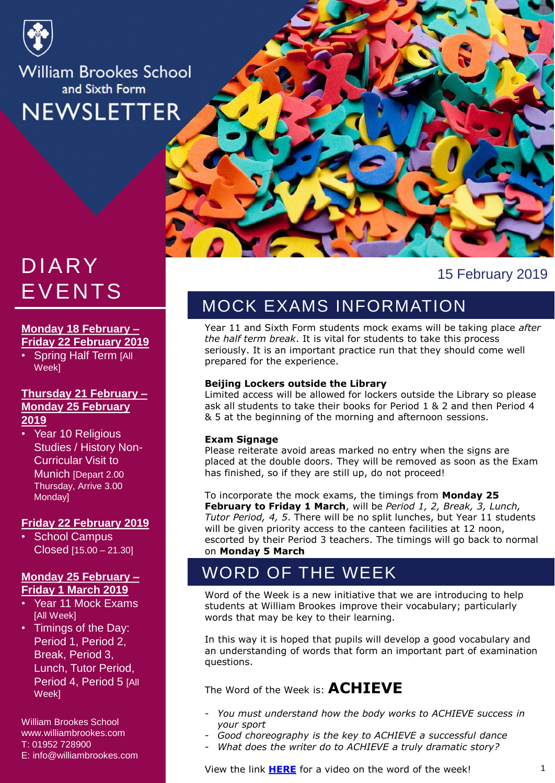

# **William Brookes School** and Sixth Form **NEWSLETTER**

# DIARY EVENTS

#### **Monday 18 February – Friday 22 February 2019**

**Spring Half Term [All** Week]

#### **Thursday 21 February – Monday 25 February 2019**

• Year 10 Religious Studies / History Non-Curricular Visit to Munich [Depart 2.00 Thursday, Arrive 3.00 Monday]

#### **Friday 22 February 2019**

School Campus Closed [15.00 – 21.30]

#### **Monday 25 February – Friday 1 March 2019**

- Year 11 Mock Exams [All Week]
- Timings of the Day: Period 1, Period 2, Break, Period 3, Lunch, Tutor Period, Period 4, Period 5 [All] Week]

William Brookes School www.williambrookes.com T: 01952 728900 E: info@williambrookes.com



#### 15 February 2019

# MOCK EXAMS INFORMATION

Year 11 and Sixth Form students mock exams will be taking place *after the half term break*. It is vital for students to take this process seriously. It is an important practice run that they should come well prepared for the experience.

#### **Beijing Lockers outside the Library**

Limited access will be allowed for lockers outside the Library so please ask all students to take their books for Period 1 & 2 and then Period 4 & 5 at the beginning of the morning and afternoon sessions.

#### **Exam Signage**

Please reiterate avoid areas marked no entry when the signs are placed at the double doors. They will be removed as soon as the Exam has finished, so if they are still up, do not proceed!

To incorporate the mock exams, the timings from **Monday 25 February to Friday 1 March**, will be *Period 1, 2, Break, 3, Lunch, Tutor Period, 4, 5*. There will be no split lunches, but Year 11 students will be given priority access to the canteen facilities at 12 noon, escorted by their Period 3 teachers. The timings will go back to normal on **Monday 5 March**

# WORD OF THE WEEK

Word of the Week is a new initiative that we are introducing to help students at William Brookes improve their vocabulary; particularly words that may be key to their learning.

In this way it is hoped that pupils will develop a good vocabulary and an understanding of words that form an important part of examination questions.

The Word of the Week is: **ACHIEVE**

- *You must understand how the body works to ACHIEVE success in your sport*
- *Good choreography is the key to ACHIEVE a successful dance*
- What does the writer do to ACHIEVE a truly dramatic story?

View the link **[HERE](https://web.microsoftstream.com/video/cd65881a-47bc-448a-86aa-a236c5b1baf6)** for a video on the word of the week!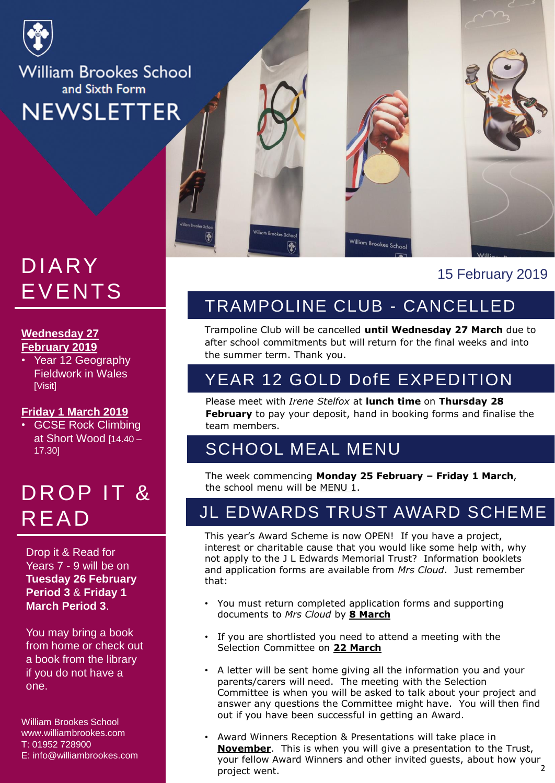

**William Brookes School** and Sixth Form **NEWSLETTER** 

# EVENTS DIARY

# <u>Wednesday 27</u> **February 2019**

Fieldwork in Wales priorities<br>Date of the set of the set of the set of the set of the set of the set of the set of the set of the set of the <br>Date of the set of the set of the set of the set of the set of the set of the set of the set of the • Year 12 Geography [Visit]

#### **Friday 1 March 2019**<br>• GCSE Beek Climbi

• GCSE Rock Climbing at Short Wood [14.40 – 17.30]

# DROP IT & READ

Drop it & Read for Years 7 - 9 will be on **Tuesday 26 February Period 3** & **Friday 1 March Period 3**.

You may bring a book from home or check out a book from the library if you do not have a one.

William Brookes School www.williambrookes.com T: 01952 728900 E: info@williambrookes.com



# TRAMPOLINE CLUB - CANCELLED

Trampoline Club will be cancelled **until Wednesday 27 March** due to after school commitments but will return for the final weeks and into the summer term. Thank you.

## YEAR 12 GOLD DofE EXPEDITION

Please meet with *Irene Stelfox* at **lunch time** on **Thursday 28 February** to pay your deposit, hand in booking forms and finalise the team members.

### SCHOOL MEAL MENU

The week commencing **Monday 25 February – Friday 1 March**, the school menu will be MENU 1.

## JL EDWARDS TRUST AWARD SCHEME

This year's Award Scheme is now OPEN! If you have a project, interest or charitable cause that you would like some help with, why not apply to the J L Edwards Memorial Trust? Information booklets and application forms are available from *Mrs Cloud*. Just remember that:

- You must return completed application forms and supporting documents to *Mrs Cloud* by **8 March**
- If you are shortlisted you need to attend a meeting with the Selection Committee on **22 March**
- A letter will be sent home giving all the information you and your parents/carers will need. The meeting with the Selection Committee is when you will be asked to talk about your project and answer any questions the Committee might have. You will then find out if you have been successful in getting an Award.
- 2 • Award Winners Reception & Presentations will take place in **November**. This is when you will give a presentation to the Trust, your fellow Award Winners and other invited guests, about how your project went.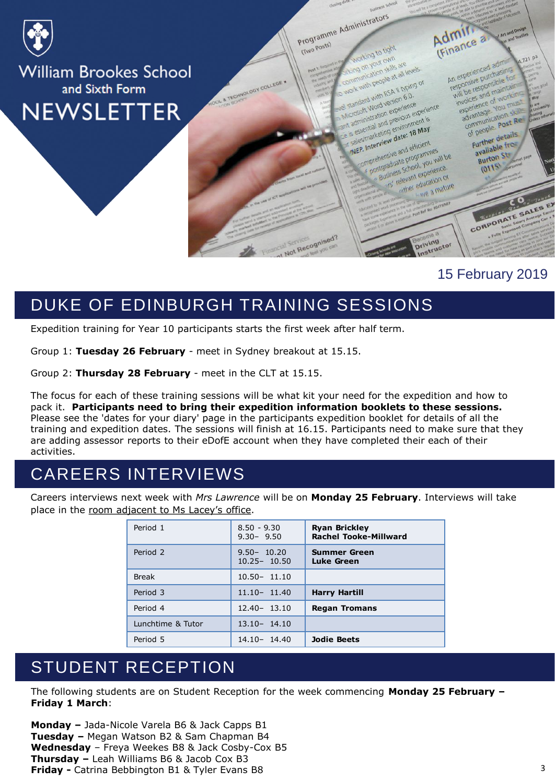

#### 15 February 2019

# DUKE OF EDINBURGH TRAINING SESSIONS

Expedition training for Year 10 participants starts the first week after half term.

Group 1: **Tuesday 26 February** - meet in Sydney breakout at 15.15.

Group 2: **Thursday 28 February** - meet in the CLT at 15.15.

The focus for each of these training sessions will be what kit your need for the expedition and how to pack it. **Participants need to bring their expedition information booklets to these sessions.** Please see the 'dates for your diary' page in the participants expedition booklet for details of all the training and expedition dates. The sessions will finish at 16.15. Participants need to make sure that they are adding assessor reports to their eDofE account when they have completed their each of their activities.

#### CAREERS INTERVIEWS

Careers interviews next week with *Mrs Lawrence* will be on **Monday 25 February**. Interviews will take place in the room adjacent to Ms Lacey's office.

| Period 1            | $8.50 - 9.30$<br>$9.30 - 9.50$    | <b>Ryan Brickley</b><br><b>Rachel Tooke-Millward</b> |
|---------------------|-----------------------------------|------------------------------------------------------|
| Period <sub>2</sub> | $9.50 - 10.20$<br>$10.25 - 10.50$ | <b>Summer Green</b><br>Luke Green                    |
| <b>Break</b>        | $10.50 - 11.10$                   |                                                      |
| Period 3            | $11.10 - 11.40$                   | <b>Harry Hartill</b>                                 |
| Period 4            | $12.40 - 13.10$                   | <b>Regan Tromans</b>                                 |
| Lunchtime & Tutor   | $13.10 - 14.10$                   |                                                      |
| Period 5            | 14.10-14.40                       | <b>Jodie Beets</b>                                   |

#### STUDENT RECEPTION

The following students are on Student Reception for the week commencing **Monday 25 February – Friday 1 March**:

**Monday –** Jada-Nicole Varela B6 & Jack Capps B1 **Tuesday –** Megan Watson B2 & Sam Chapman B4 **Wednesday** – Freya Weekes B8 & Jack Cosby-Cox B5 **Thursday –** Leah Williams B6 & Jacob Cox B3 **Friday -** Catrina Bebbington B1 & Tyler Evans B8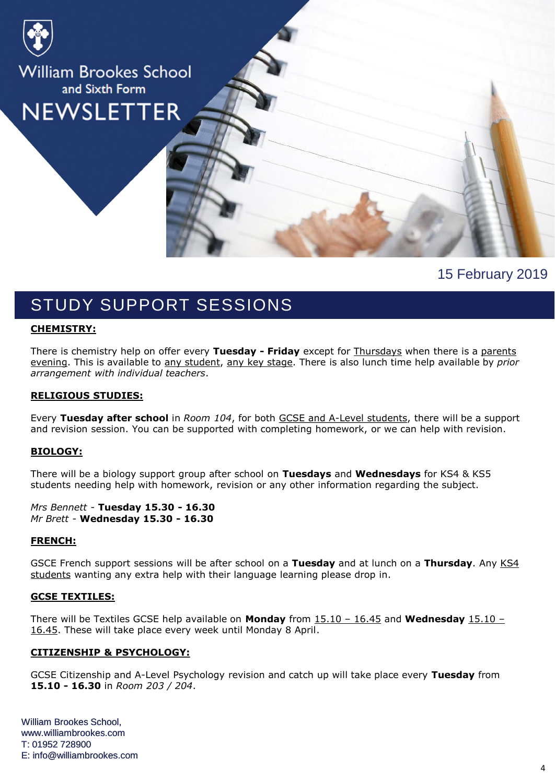

15 February 2019

## STUDY SUPPORT SESSIONS

#### **CHEMISTRY:**

There is chemistry help on offer every **Tuesday - Friday** except for Thursdays when there is a parents evening. This is available to any student, any key stage. There is also lunch time help available by *prior arrangement with individual teachers*.

#### **RELIGIOUS STUDIES:**

Every **Tuesday after school** in *Room 104*, for both GCSE and A-Level students, there will be a support and revision session. You can be supported with completing homework, or we can help with revision.

#### **BIOLOGY:**

There will be a biology support group after school on **Tuesdays** and **Wednesdays** for KS4 & KS5 students needing help with homework, revision or any other information regarding the subject.

*Mrs Bennett* - **Tuesday 15.30 - 16.30** *Mr Brett* - **Wednesday 15.30 - 16.30**

#### **FRENCH:**

GSCE French support sessions will be after school on a **Tuesday** and at lunch on a **Thursday**. Any KS4 students wanting any extra help with their language learning please drop in.

#### **GCSE TEXTILES:**

There will be Textiles GCSE help available on **Monday** from 15.10 – 16.45 and **Wednesday** 15.10 – 16.45. These will take place every week until Monday 8 April.

#### **CITIZENSHIP & PSYCHOLOGY:**

GCSE Citizenship and A-Level Psychology revision and catch up will take place every **Tuesday** from **15.10 - 16.30** in *Room 203 / 204*.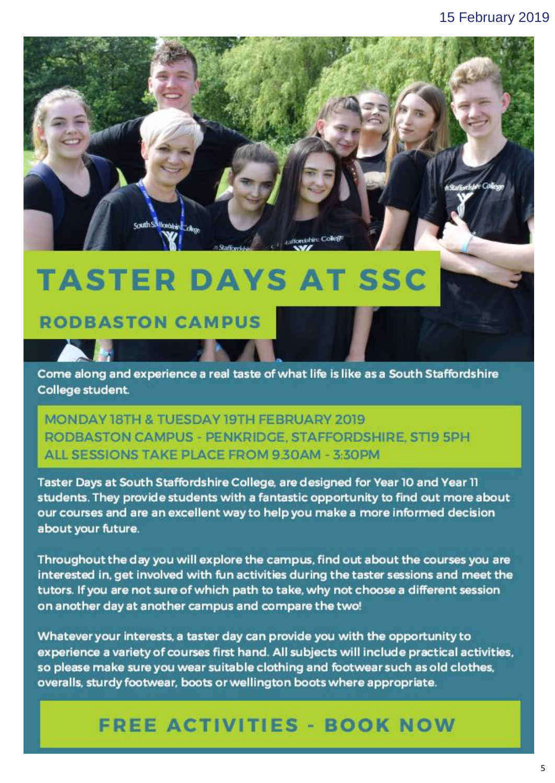

# **TASTER DAYS AT SSC**

# **RODBASTON CAMPUS**

Come along and experience a real taste of what life is like as a South Staffordshire College student.

MONDAY 18TH & TUESDAY 19TH FEBRUARY 2019 RODBASTON CAMPUS - PENKRIDGE, STAFFORDSHIRE, STI9 5PH ALL SESSIONS TAKE PLACE FROM 9 30AM - 3 30PM

Taster Days at South Staffordshire College, are designed for Year 10 and Year 11 students. They provide students with a fantastic opportunity to find out more about our courses and are an excellent way to help you make a more informed decision about your future.

interested in, get involved with fun activities during the taster sessions and meet the tutors. If you are not sure of which path to take, why not choose a different session on another day at another campus and compare the two!

Whatever your interests, a taster day can provide you with the opportunity to experience a variety of courses first hand. All subjects will include practical activities, so please make sure you wear suitable clothing and footwear such as old clothes. overalls, sturdy footwear, boots or wellington boots where appropriate.

# **FREE ACTIVITIES - BOOK NOW**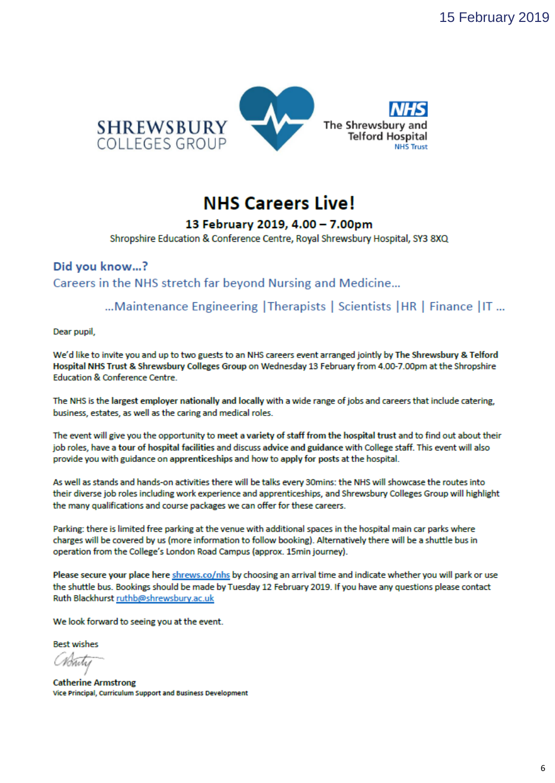

# **NHS Careers Live!**

#### 13 February 2019, 4.00 - 7.00pm

Shropshire Education & Conference Centre, Royal Shrewsbury Hospital, SY3 8XQ

#### Did you know...? Careers in the NHS stretch far beyond Nursing and Medicine...

... Maintenance Engineering | Therapists | Scientists | HR | Finance | IT ...

Dear pupil,

We'd like to invite you and up to two guests to an NHS careers event arranged jointly by The Shrewsbury & Telford Hospital NHS Trust & Shrewsbury Colleges Group on Wednesday 13 February from 4.00-7.00pm at the Shropshire **Education & Conference Centre.** 

The NHS is the largest employer nationally and locally with a wide range of jobs and careers that include catering, business, estates, as well as the caring and medical roles.

The event will give you the opportunity to meet a variety of staff from the hospital trust and to find out about their job roles, have a tour of hospital facilities and discuss advice and guidance with College staff. This event will also provide you with guidance on apprenticeships and how to apply for posts at the hospital.

As well as stands and hands-on activities there will be talks every 30mins: the NHS will showcase the routes into their diverse job roles including work experience and apprenticeships, and Shrewsbury Colleges Group will highlight the many qualifications and course packages we can offer for these careers.

Parking: there is limited free parking at the venue with additional spaces in the hospital main car parks where charges will be covered by us (more information to follow booking). Alternatively there will be a shuttle bus in operation from the College's London Road Campus (approx. 15min journey).

Please secure your place here shrews.co/nhs by choosing an arrival time and indicate whether you will park or use the shuttle bus. Bookings should be made by Tuesday 12 February 2019. If you have any questions please contact Ruth Blackhurst ruthb@shrewsbury.ac.uk

We look forward to seeing you at the event.

**Best wishes** 

**Catherine Armstrong** Vice Principal, Curriculum Support and Business Development